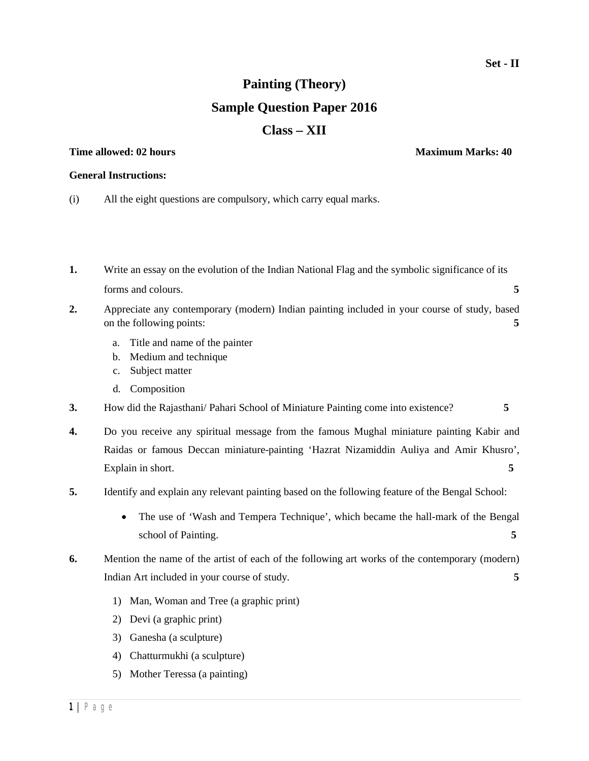## **Painting (Theory) Sample Question Paper 2016 Class – XII**

## **Time allowed: 02 hours Maximum Marks: 40**

## **General Instructions:**

- (i) All the eight questions are compulsory, which carry equal marks.
- **1.** Write an essay on the evolution of the Indian National Flag and the symbolic significance of its forms and colours. **5**
- **2.** Appreciate any contemporary (modern) Indian painting included in your course of study, based on the following points: **5** 
	- a. Title and name of the painter
	- b. Medium and technique
	- c. Subject matter
	- d. Composition
- **3.** How did the Rajasthani/ Pahari School of Miniature Painting come into existence? **5**
- **4.** Do you receive any spiritual message from the famous Mughal miniature painting Kabir and Raidas or famous Deccan miniature-painting 'Hazrat Nizamiddin Auliya and Amir Khusro', Explain in short. **5**
- **5.** Identify and explain any relevant painting based on the following feature of the Bengal School:
	- The use of 'Wash and Tempera Technique', which became the hall-mark of the Bengal school of Painting. **5**
- **6.** Mention the name of the artist of each of the following art works of the contemporary (modern) Indian Art included in your course of study. **5** 
	- 1) Man, Woman and Tree (a graphic print)
	- 2) Devi (a graphic print)
	- 3) Ganesha (a sculpture)
	- 4) Chatturmukhi (a sculpture)
	- 5) Mother Teressa (a painting)